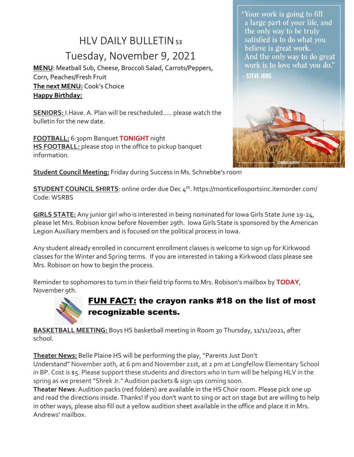# HLV DAILY BULLETIN<sub>53</sub> Tuesday, November 9, 2021

**MENU**: Meatball Sub, Cheese, Broccoli Salad, Carrots/Peppers, Corn, Peaches/Fresh Fruit **The next MENU:** Cook's Choice **Happy Birthday:**

**SENIORS:** I.Have. A. Plan will be rescheduled….. please watch the bulletin for the new date.

**FOOTBALL:** 6:30pm Banquet **TONIGHT** night **HS FOOTBALL:** please stop in the office to pickup banquet information.

**Student Council Meeting:** Friday during Success in Ms. Schnebbe's room

"Your work is going to fill a large part of your life, and the only way to be truly satisfied is to do what you believe is great work. And the only way to do great work is to love what you do." STEVE JOBS



**STUDENT COUNCIL SHIRTS**: online order due Dec 4th . https://monticellosportsinc.itemorder.com/ Code: WSRBS

**GIRLS STATE:** Any junior girl who is interested in being nominated for Iowa Girls State June 19-24, please let Mrs. Robison know before November 29th. Iowa Girls State is sponsored by the American Legion Auxiliary members and is focused on the political process in Iowa.

Any student already enrolled in concurrent enrollment classes is welcome to sign up for Kirkwood classes for the Winter and Spring terms. If you are interested in taking a Kirkwood class please see Mrs. Robison on how to begin the process.

Reminder to sophomores to turn in their field trip forms to Mrs. Robison's mailbox by **TODAY**, November 9th.



## FUN FACT: the crayon ranks #18 on the list of most recognizable scents.

**BASKETBALL MEETING:** Boys HS basketball meeting in Room 30 Thursday, 11/11/2021, after school.

**Theater News:** Belle Plaine HS will be performing the play, "Parents Just Don't

Understand" November 20th, at 6 pm and November 21st, at 2 pm at Longfellow Elementary School in BP. Cost is \$5. Please support these students and directors who in turn will be helping HLV in the spring as we present "Shrek Jr." Audition packets & sign ups coming soon.

**Theater News**: Audition packs (red folders) are available in the HS Choir room. Please pick one up and read the directions inside. Thanks! If you don't want to sing or act on stage but are willing to help in other ways, please also fill out a yellow audition sheet available in the office and place it in Mrs. Andrews' mailbox.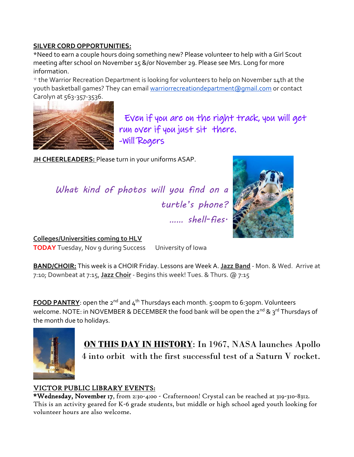#### **SILVER CORD OPPORTUNITIES:**

\*Need to earn a couple hours doing something new? Please volunteer to help with a Girl Scout meeting after school on November 15 &/or November 29. Please see Mrs. Long for more information.

 $*$  the Warrior Recreation Department is looking for volunteers to help on November 14th at the youth basketball games? They can email [warriorrecreationdepartment@gmail.com](mailto:warriorrecreationdepartment@gmail.com) or contact Carolyn at 563-357-3536.



 Even if you are on the right track, you will get run over if you just sit there. -Will Rogers

**JH CHEERLEADERS:** Please turn in your uniforms ASAP.

*What kind of photos will you find on a turtle's phone? …… shell-fies.* 



**Colleges/Universities coming to HLV TODAY** Tuesday, Nov 9 during Success University of Iowa

**BAND/CHOIR:** This week is a CHOIR Friday. Lessons are Week A. **Jazz Band** - Mon. & Wed. Arrive at 7:10; Downbeat at 7:15, **Jazz Choir** - Begins this week! Tues. & Thurs. @ 7:15

**FOOD PANTRY**: open the  $2^{nd}$  and  $4^{th}$  Thursdays each month. 5:00pm to 6:30pm. Volunteers welcome. NOTE: in NOVEMBER & DECEMBER the food bank will be open the 2<sup>nd</sup> & 3<sup>rd</sup> Thursdays of the month due to holidays.



**ON THIS DAY IN HISTORY**: In 1967, NASA launches Apollo 4 into orbit with the first successful test of a Saturn V rocket.

### VICTOR PUBLIC LIBRARY EVENTS:

\*Wednesday, November 17, from 2:30-4:00 - Crafternoon! Crystal can be reached at 319-310-8312. This is an activity geared for K-6 grade students, but middle or high school aged youth looking for volunteer hours are also welcome.